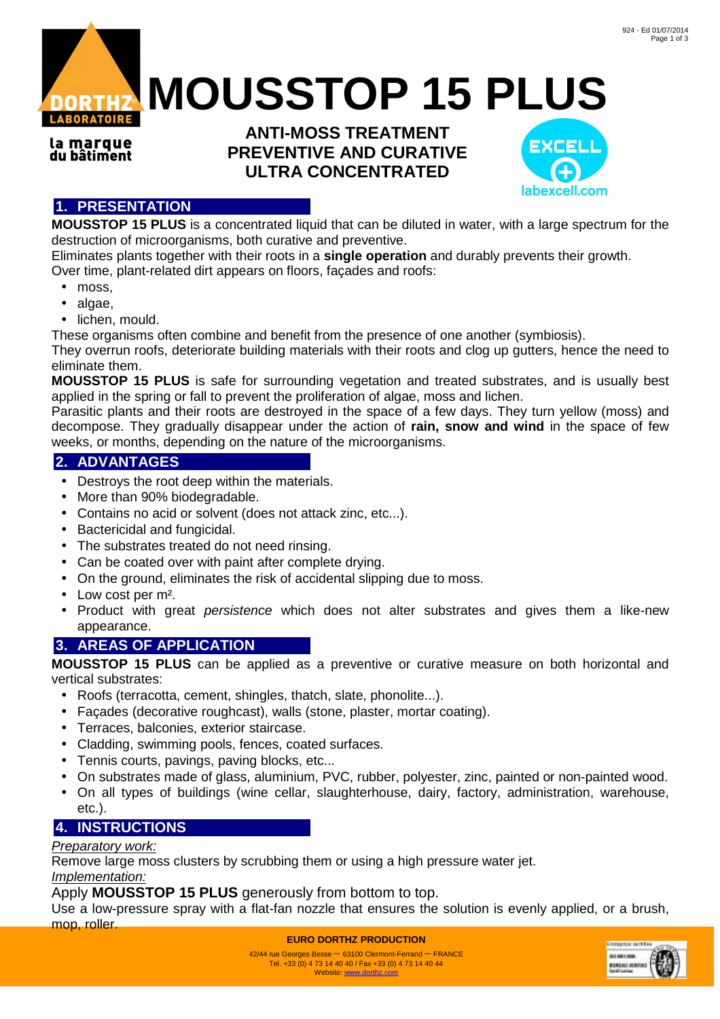

la marque du bâtiment

**ANTI-MOSS TREATMENT PREVENTIVE AND CURATIVE ULTRA CONCENTRATED**



# **1. PRESENTATION**

**MOUSSTOP 15 PLUS** is a concentrated liquid that can be diluted in water, with a large spectrum for the destruction of microorganisms, both curative and preventive.

Eliminates plants together with their roots in a **single operation** and durably prevents their growth. Over time, plant-related dirt appears on floors, façades and roofs:

- moss,
- algae,
- lichen, mould.

These organisms often combine and benefit from the presence of one another (symbiosis).

They overrun roofs, deteriorate building materials with their roots and clog up gutters, hence the need to eliminate them.

**MOUSSTOP 15 PLUS** is safe for surrounding vegetation and treated substrates, and is usually best applied in the spring or fall to prevent the proliferation of algae, moss and lichen.

Parasitic plants and their roots are destroyed in the space of a few days. They turn yellow (moss) and decompose. They gradually disappear under the action of **rain, snow and wind** in the space of few weeks, or months, depending on the nature of the microorganisms.

## **2. ADVANTAGES**

- Destroys the root deep within the materials.
- More than 90% biodegradable.
- Contains no acid or solvent (does not attack zinc, etc...).
- Bactericidal and fungicidal.
- The substrates treated do not need rinsing.
- Can be coated over with paint after complete drying.
- On the ground, eliminates the risk of accidental slipping due to moss.
- Low cost per m².
- Product with great persistence which does not alter substrates and gives them a like-new appearance.

## **3. AREAS OF APPLICATION**

**MOUSSTOP 15 PLUS** can be applied as a preventive or curative measure on both horizontal and vertical substrates:

- Roofs (terracotta, cement, shingles, thatch, slate, phonolite...).
- Façades (decorative roughcast), walls (stone, plaster, mortar coating).
- Terraces, balconies, exterior staircase.
- Cladding, swimming pools, fences, coated surfaces.
- Tennis courts, pavings, paving blocks, etc...
- On substrates made of glass, aluminium, PVC, rubber, polyester, zinc, painted or non-painted wood.
- On all types of buildings (wine cellar, slaughterhouse, dairy, factory, administration, warehouse, etc.).

## **4. INSTRUCTIONS**

#### Preparatory work:

Remove large moss clusters by scrubbing them or using a high pressure water jet. Implementation:

Apply **MOUSSTOP 15 PLUS** generously from bottom to top.

Use a low-pressure spray with a flat-fan nozzle that ensures the solution is evenly applied, or a brush, mop, roller.

**EURO DORTHZ PRODUCTION**



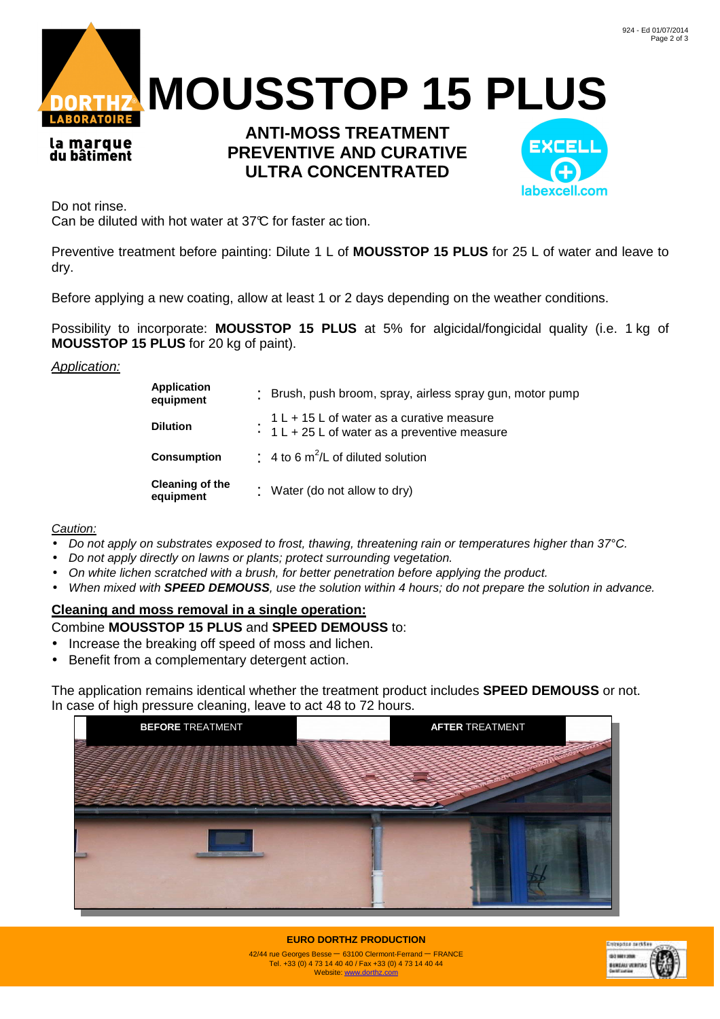

la marque du bâtiment

**ANTI-MOSS TREATMENT PREVENTIVE AND CURATIVE ULTRA CONCENTRATED**



Do not rinse.

Can be diluted with hot water at 37°C for faster ac tion.

Preventive treatment before painting: Dilute 1 L of **MOUSSTOP 15 PLUS** for 25 L of water and leave to dry.

Before applying a new coating, allow at least 1 or 2 days depending on the weather conditions.

Possibility to incorporate: **MOUSSTOP 15 PLUS** at 5% for algicidal/fongicidal quality (i.e. 1 kg of **MOUSSTOP 15 PLUS** for 20 kg of paint).

#### Application:

| <b>Application</b><br>equipment     | Brush, push broom, spray, airless spray gun, motor pump                                    |  |
|-------------------------------------|--------------------------------------------------------------------------------------------|--|
| <b>Dilution</b>                     | $1 L + 15 L$ of water as a curative measure<br>1 L + 25 L of water as a preventive measure |  |
| <b>Consumption</b>                  | $\div$ 4 to 6 m <sup>2</sup> /L of diluted solution                                        |  |
| <b>Cleaning of the</b><br>equipment | : Water (do not allow to dry)                                                              |  |

#### Caution:

- Do not apply on substrates exposed to frost, thawing, threatening rain or temperatures higher than 37°C.
- Do not apply directly on lawns or plants; protect surrounding vegetation.
- On white lichen scratched with a brush, for better penetration before applying the product.
- When mixed with **SPEED DEMOUSS**, use the solution within 4 hours; do not prepare the solution in advance.

# **Cleaning and moss removal in a single operation:**

### Combine **MOUSSTOP 15 PLUS** and **SPEED DEMOUSS** to:

- Increase the breaking off speed of moss and lichen.
- Benefit from a complementary detergent action.

The application remains identical whether the treatment product includes **SPEED DEMOUSS** or not. In case of high pressure cleaning, leave to act 48 to 72 hours.





**EURO DORTHZ PRODUCTION** 42/44 rue Georges Besse – 63100 Clermont-Ferrand – FRANCE Tel. +33 (0) 4 73 14 40 40 / Fax +33 (0) 4 73 14 40 44 Website: www.dorthz.com